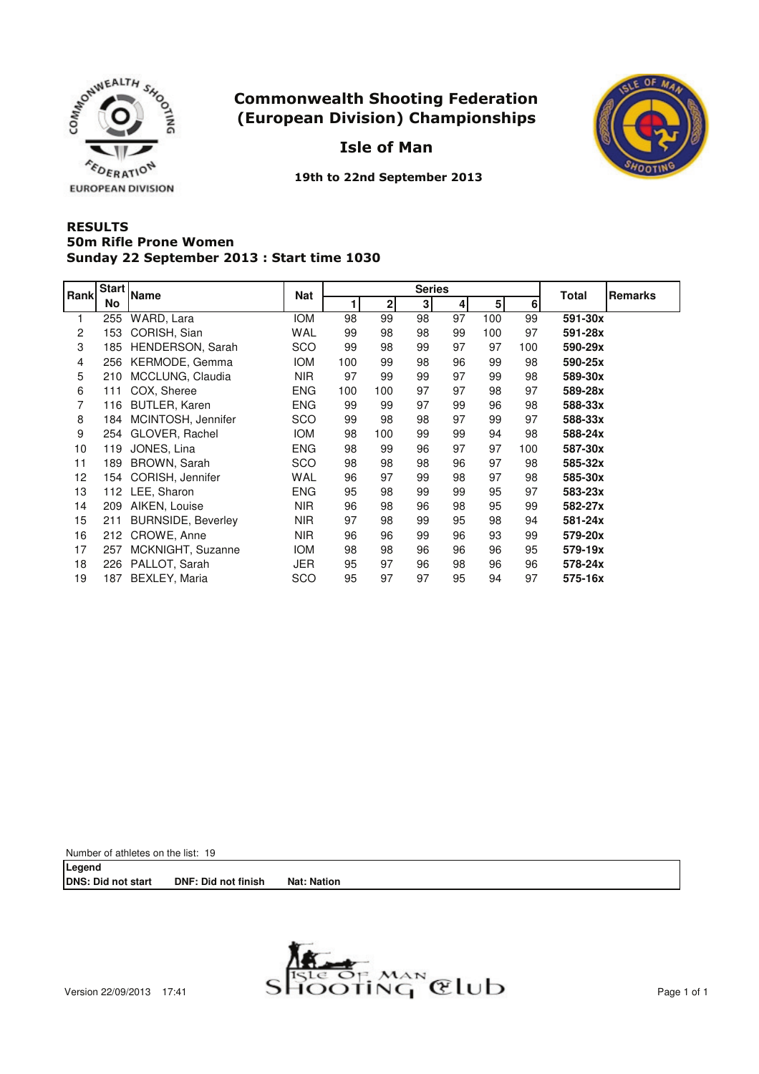





19th to 22nd September 2013

## **RESULTS** Sunday 22 September 2013 : Start time 1030 50m Rifle Prone Women

| Rank | <b>Start</b> | <b>Name</b>               | <b>Nat</b> |     |              | <b>Series</b> | Total | <b>Remarks</b> |     |         |  |
|------|--------------|---------------------------|------------|-----|--------------|---------------|-------|----------------|-----|---------|--|
|      | No           |                           |            |     | $\mathbf{2}$ | 3             | 4     | 5 <sup>1</sup> | 6   |         |  |
|      | 255          | WARD, Lara                | <b>IOM</b> | 98  | 99           | 98            | 97    | 100            | 99  | 591-30x |  |
| 2    | 153          | CORISH, Sian              | WAL        | 99  | 98           | 98            | 99    | 100            | 97  | 591-28x |  |
| 3    | 185          | HENDERSON, Sarah          | <b>SCO</b> | 99  | 98           | 99            | 97    | 97             | 100 | 590-29x |  |
| 4    | 256          | KERMODE, Gemma            | <b>IOM</b> | 100 | 99           | 98            | 96    | 99             | 98  | 590-25x |  |
| 5    | 210          | MCCLUNG, Claudia          | <b>NIR</b> | 97  | 99           | 99            | 97    | 99             | 98  | 589-30x |  |
| 6    | 111          | COX, Sheree               | <b>ENG</b> | 100 | 100          | 97            | 97    | 98             | 97  | 589-28x |  |
| 7    | 116          | <b>BUTLER, Karen</b>      | <b>ENG</b> | 99  | 99           | 97            | 99    | 96             | 98  | 588-33x |  |
| 8    | 184          | MCINTOSH, Jennifer        | <b>SCO</b> | 99  | 98           | 98            | 97    | 99             | 97  | 588-33x |  |
| 9    |              | 254 GLOVER, Rachel        | <b>IOM</b> | 98  | 100          | 99            | 99    | 94             | 98  | 588-24x |  |
| 10   | 119          | JONES, Lina               | <b>ENG</b> | 98  | 99           | 96            | 97    | 97             | 100 | 587-30x |  |
| 11   | 189          | BROWN, Sarah              | <b>SCO</b> | 98  | 98           | 98            | 96    | 97             | 98  | 585-32x |  |
| 12   | 154          | CORISH, Jennifer          | WAL        | 96  | 97           | 99            | 98    | 97             | 98  | 585-30x |  |
| 13   |              | 112 LEE, Sharon           | <b>ENG</b> | 95  | 98           | 99            | 99    | 95             | 97  | 583-23x |  |
| 14   |              | 209 AIKEN, Louise         | <b>NIR</b> | 96  | 98           | 96            | 98    | 95             | 99  | 582-27x |  |
| 15   | 211          | <b>BURNSIDE, Beverley</b> | <b>NIR</b> | 97  | 98           | 99            | 95    | 98             | 94  | 581-24x |  |
| 16   | 212          | CROWE, Anne               | <b>NIR</b> | 96  | 96           | 99            | 96    | 93             | 99  | 579-20x |  |
| 17   | 257          | MCKNIGHT, Suzanne         | <b>IOM</b> | 98  | 98           | 96            | 96    | 96             | 95  | 579-19x |  |
| 18   |              | 226 PALLOT, Sarah         | JER        | 95  | 97           | 96            | 98    | 96             | 96  | 578-24x |  |
| 19   | 187          | <b>BEXLEY, Maria</b>      | <b>SCO</b> | 95  | 97           | 97            | 95    | 94             | 97  | 575-16x |  |

Number of athletes on the list: 19

**Legend DNS: Did not start DNF: Did not finish Nat: Nation**

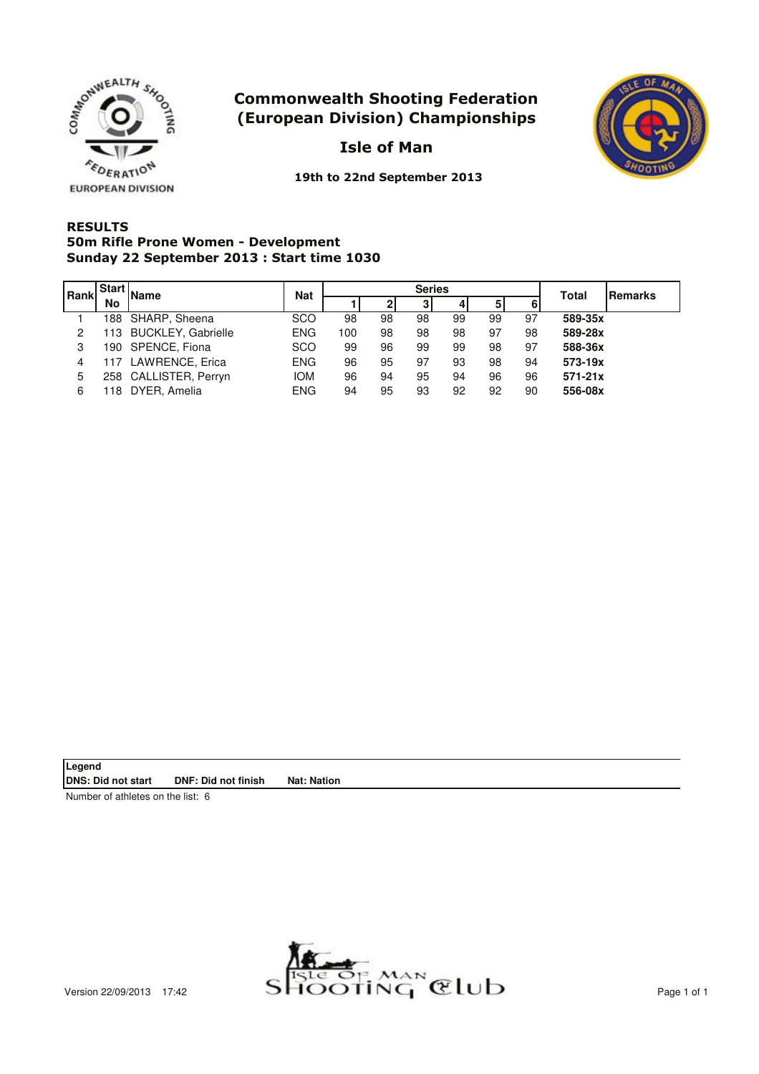



Isle of Man

19th to 22nd September 2013

## **RESULTS** Sunday 22 September 2013 : Start time 1030 50m Rifle Prone Women - Development

| Rank |    | Start Name             | <b>Nat</b> |     |    | <b>Series</b> | Total | <b>IRemarks</b> |    |             |  |
|------|----|------------------------|------------|-----|----|---------------|-------|-----------------|----|-------------|--|
|      | No |                        |            |     |    |               | 41    | 5               | 6  |             |  |
|      |    | 188 SHARP, Sheena      | <b>SCO</b> | 98  | 98 | 98            | 99    | 99              | 97 | 589-35x     |  |
| 2    |    | 113 BUCKLEY, Gabrielle | <b>ENG</b> | 100 | 98 | 98            | 98    | 97              | 98 | 589-28x     |  |
| 3    |    | 190 SPENCE, Fiona      | <b>SCO</b> | 99  | 96 | 99            | 99    | 98              | 97 | 588-36x     |  |
| 4    |    | 117 LAWRENCE, Erica    | <b>ENG</b> | 96  | 95 | 97            | 93    | 98              | 94 | 573-19x     |  |
| 5    |    | 258 CALLISTER, Perryn  | <b>IOM</b> | 96  | 94 | 95            | 94    | 96              | 96 | $571 - 21x$ |  |
| 6    |    | 118 DYER, Amelia       | <b>ENG</b> | 94  | 95 | 93            | 92    | 92              | 90 | 556-08x     |  |

**Legend DNS: Did not start DNF: Did not finish Nat: Nation**

Number of athletes on the list: 6

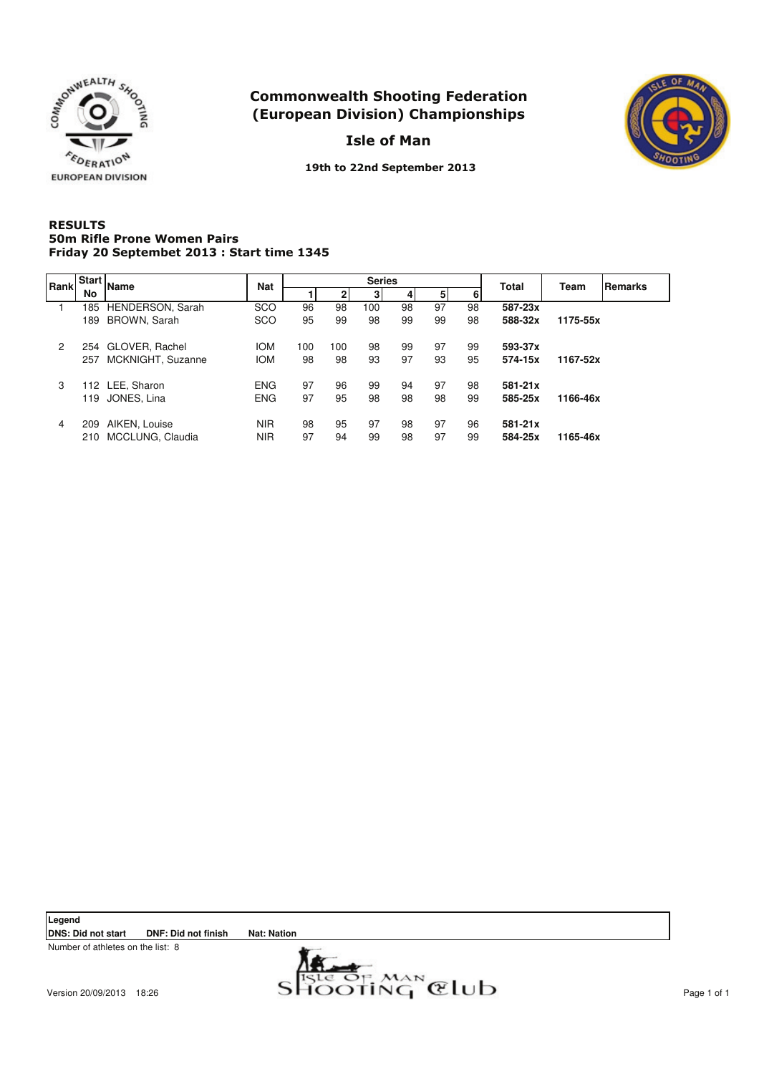

Isle of Man



19th to 22nd September 2013

#### **RESULTS** Friday 20 Septembet 2013 : Start time 1345 50m Rifle Prone Women Pairs

| <b>Rank</b>    | <b>Start</b> | <b>Name</b>       | <b>Nat</b> |     |     | <b>Series</b> |    |    | <b>Total</b> | Team    | Remarks  |  |
|----------------|--------------|-------------------|------------|-----|-----|---------------|----|----|--------------|---------|----------|--|
|                | No           |                   |            |     |     | 31            |    | 51 |              |         |          |  |
|                | 185          | HENDERSON, Sarah  | <b>SCO</b> | 96  | 98  | 100           | 98 | 97 | 98           | 587-23x |          |  |
|                | 189          | BROWN, Sarah      | <b>SCO</b> | 95  | 99  | 98            | 99 | 99 | 98           | 588-32x | 1175-55x |  |
| $\overline{2}$ | 254          | GLOVER, Rachel    | <b>IOM</b> | 100 | 100 | 98            | 99 | 97 | 99           | 593-37x |          |  |
|                | 257          | MCKNIGHT, Suzanne | <b>IOM</b> | 98  | 98  | 93            | 97 | 93 | 95           | 574-15x | 1167-52x |  |
| 3              |              | 112 LEE, Sharon   | <b>ENG</b> | 97  | 96  | 99            | 94 | 97 | 98           | 581-21x |          |  |
|                | 119          | JONES, Lina       | <b>ENG</b> | 97  | 95  | 98            | 98 | 98 | 99           | 585-25x | 1166-46x |  |
| 4              | 209          | AIKEN, Louise     | <b>NIR</b> | 98  | 95  | 97            | 98 | 97 | 96           | 581-21x |          |  |
|                | 210          | MCCLUNG, Claudia  | <b>NIR</b> | 97  | 94  | 99            | 98 | 97 | 99           | 584-25x | 1165-46x |  |

**Legend**

**DNS: Did not start DNF: Did not finish Nat: Nation**

Number of athletes on the list: 8